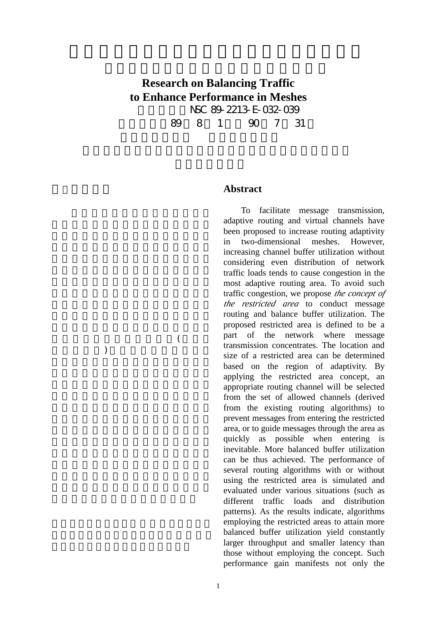## **Research on Balancing Traffic to Enhance Performance in Meshes** 計畫編號:NSC 89-2213-E-032-039 執行期限:89 8 1 日至 90 7 31

 $(1)$ ), we have  $\lambda$ 

## **Abstract**

To facilitate message transmission, adaptive routing and virtual channels have been proposed to increase routing adaptivity in two-dimensional meshes. However, increasing channel buffer utilization without considering even distribution of network traffic loads tends to cause congestion in the most adaptive routing area. To avoid such traffic congestion, we propose *the concept of the restricted area* to conduct message routing and balance buffer utilization. The proposed restricted area is defined to be a part of the network where message transmission concentrates. The location and size of a restricted area can be determined based on the region of adaptivity. By applying the restricted area concept, an appropriate routing channel will be selected from the set of allowed channels (derived from the existing routing algorithms) to prevent messages from entering the restricted area, or to guide messages through the area as quickly as possible when entering is inevitable. More balanced buffer utilization can be thus achieved. The performance of several routing algorithms with or without using the restricted area is simulated and evaluated under various situations (such as different traffic loads and distribution patterns). As the results indicate, algorithms employing the restricted areas to attain more balanced buffer utilization yield constantly larger throughput and smaller latency than those without employing the concept. Such performance gain manifests not only the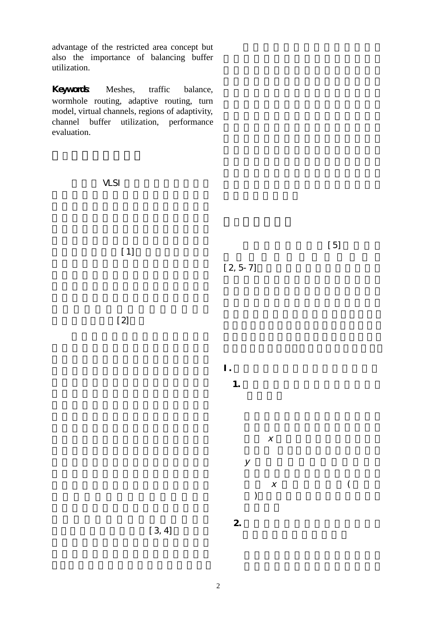advantage of the restricted area concept but also the importance of balancing buffer utilization.

Keywords Meshes, traffic balance, wormhole routing, adaptive routing, turn model, virtual channels, regions of adaptivity, channel buffer utilization, performance evaluation.

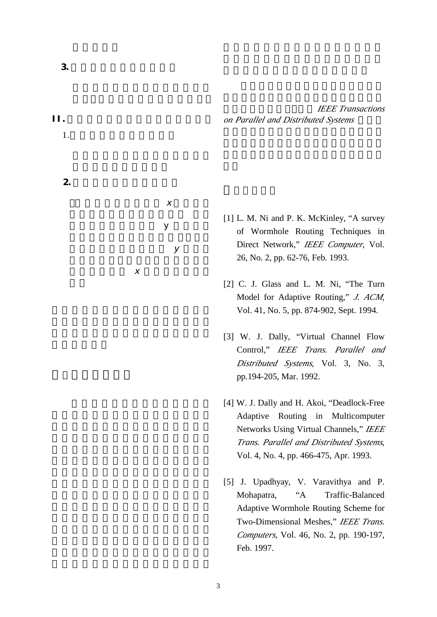**IEEE Transactions**  $on$  Parallel and Distributed Systems

- [1] L. M. Ni and P. K. McKinley, "A survey of Wormhole Routing Techniques in Direct Network," *IEEE Computer*, Vol. 26, No. 2, pp. 62-76, Feb. 1993.
- [2] C. J. Glass and L. M. Ni, "The Turn Model for Adaptive Routing," *J. ACM*, Vol. 41, No. 5, pp. 874-902, Sept. 1994.
- [3] W. J. Dally, "Virtual Channel Flow Control," *IEEE Trans. Parallel and Distributed Systems*, Vol. 3, No. 3, pp.194-205, Mar. 1992.
- [4] W. J. Dally and H. Akoi, "Deadlock-Free Adaptive Routing in Multicomputer Networks Using Virtual Channels," *IEEE Trans. Parallel and Distributed Systems*, Vol. 4, No. 4, pp. 466-475, Apr. 1993.
- [5] J. Upadhyay, V. Varavithya and P. Mohapatra, "A Traffic-Balanced Adaptive Wormhole Routing Scheme for Two-Dimensional Meshes," *IEEE Trans. Computers*, Vol. 46, No. 2, pp. 190-197, Feb. 1997.

3

II.當欲傳送之封包位於管制區 時:

 $\mathsf{y}$ 

 $\mathcal Y$ 

 $\chi$ 

1.  $\blacksquare$ 

2.目標節點位於管制區外:

 $\chi$